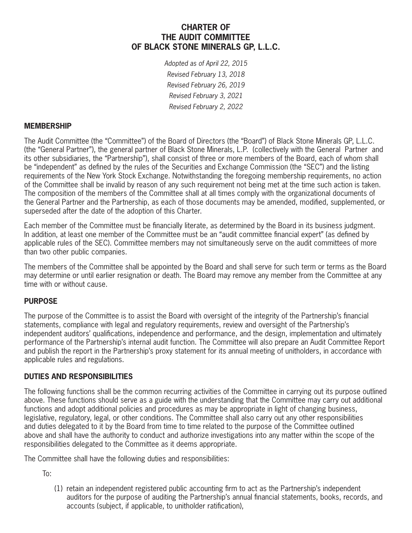# **CHARTER OF THE AUDIT COMMITTEE OF BLACK STONE MINERALS GP, L.L.C.**

*Adopted as of April 22, 2015 Revised February 13, 2018 Revised February 26, 2019 Revised February 3, 2021 Revised February 2, 2022*

### **MEMBERSHIP**

The Audit Committee (the "Committee") of the Board of Directors (the "Board") of Black Stone Minerals GP, L.L.C. (the "General Partner"), the general partner of Black Stone Minerals, L.P. (collectively with the General Partner and its other subsidiaries, the "Partnership"), shall consist of three or more members of the Board, each of whom shall be "independent" as defined by the rules of the Securities and Exchange Commission (the "SEC") and the listing requirements of the New York Stock Exchange. Notwithstanding the foregoing membership requirements, no action of the Committee shall be invalid by reason of any such requirement not being met at the time such action is taken. The composition of the members of the Committee shall at all times comply with the organizational documents of the General Partner and the Partnership, as each of those documents may be amended, modified, supplemented, or superseded after the date of the adoption of this Charter.

Each member of the Committee must be financially literate, as determined by the Board in its business judgment. In addition, at least one member of the Committee must be an "audit committee financial expert" (as defined by applicable rules of the SEC). Committee members may not simultaneously serve on the audit committees of more than two other public companies.

The members of the Committee shall be appointed by the Board and shall serve for such term or terms as the Board may determine or until earlier resignation or death. The Board may remove any member from the Committee at any time with or without cause.

## **PURPOSE**

The purpose of the Committee is to assist the Board with oversight of the integrity of the Partnership's financial statements, compliance with legal and regulatory requirements, review and oversight of the Partnership's independent auditors' qualifications, independence and performance, and the design, implementation and ultimately performance of the Partnership's internal audit function. The Committee will also prepare an Audit Committee Report and publish the report in the Partnership's proxy statement for its annual meeting of unitholders, in accordance with applicable rules and regulations.

#### **DUTIES AND RESPONSIBILITIES**

The following functions shall be the common recurring activities of the Committee in carrying out its purpose outlined above. These functions should serve as a guide with the understanding that the Committee may carry out additional functions and adopt additional policies and procedures as may be appropriate in light of changing business, legislative, regulatory, legal, or other conditions. The Committee shall also carry out any other responsibilities and duties delegated to it by the Board from time to time related to the purpose of the Committee outlined above and shall have the authority to conduct and authorize investigations into any matter within the scope of the responsibilities delegated to the Committee as it deems appropriate.

The Committee shall have the following duties and responsibilities:

To:

(1) retain an independent registered public accounting firm to act as the Partnership's independent auditors for the purpose of auditing the Partnership's annual financial statements, books, records, and accounts (subject, if applicable, to unitholder ratification),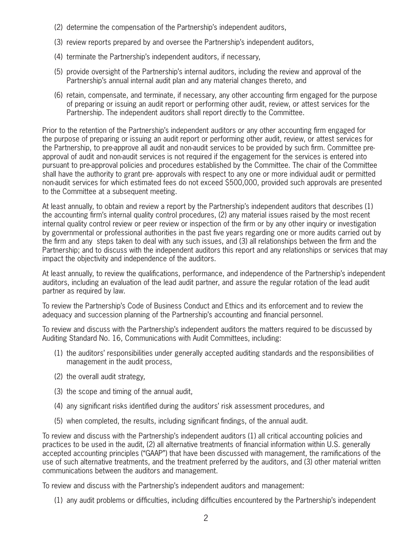- (2) determine the compensation of the Partnership's independent auditors,
- (3) review reports prepared by and oversee the Partnership's independent auditors,
- (4) terminate the Partnership's independent auditors, if necessary,
- (5) provide oversight of the Partnership's internal auditors, including the review and approval of the Partnership's annual internal audit plan and any material changes thereto, and
- (6) retain, compensate, and terminate, if necessary, any other accounting firm engaged for the purpose of preparing or issuing an audit report or performing other audit, review, or attest services for the Partnership. The independent auditors shall report directly to the Committee.

Prior to the retention of the Partnership's independent auditors or any other accounting firm engaged for the purpose of preparing or issuing an audit report or performing other audit, review, or attest services for the Partnership, to pre-approve all audit and non-audit services to be provided by such firm. Committee preapproval of audit and non-audit services is not required if the engagement for the services is entered into pursuant to pre-approval policies and procedures established by the Committee. The chair of the Committee shall have the authority to grant pre- approvals with respect to any one or more individual audit or permitted non-audit services for which estimated fees do not exceed \$500,000, provided such approvals are presented to the Committee at a subsequent meeting.

At least annually, to obtain and review a report by the Partnership's independent auditors that describes (1) the accounting firm's internal quality control procedures, (2) any material issues raised by the most recent internal quality control review or peer review or inspection of the firm or by any other inquiry or investigation by governmental or professional authorities in the past five years regarding one or more audits carried out by the firm and any steps taken to deal with any such issues, and (3) all relationships between the firm and the Partnership; and to discuss with the independent auditors this report and any relationships or services that may impact the objectivity and independence of the auditors.

At least annually, to review the qualifications, performance, and independence of the Partnership's independent auditors, including an evaluation of the lead audit partner, and assure the regular rotation of the lead audit partner as required by law.

To review the Partnership's Code of Business Conduct and Ethics and its enforcement and to review the adequacy and succession planning of the Partnership's accounting and financial personnel.

To review and discuss with the Partnership's independent auditors the matters required to be discussed by Auditing Standard No. 16, Communications with Audit Committees, including:

- (1) the auditors' responsibilities under generally accepted auditing standards and the responsibilities of management in the audit process,
- (2) the overall audit strategy,
- (3) the scope and timing of the annual audit,
- (4) any significant risks identified during the auditors' risk assessment procedures, and
- (5) when completed, the results, including significant findings, of the annual audit.

To review and discuss with the Partnership's independent auditors (1) all critical accounting policies and practices to be used in the audit, (2) all alternative treatments of financial information within U.S. generally accepted accounting principles ("GAAP") that have been discussed with management, the ramifications of the use of such alternative treatments, and the treatment preferred by the auditors, and (3) other material written communications between the auditors and management.

To review and discuss with the Partnership's independent auditors and management:

(1) any audit problems or difficulties, including difficulties encountered by the Partnership's independent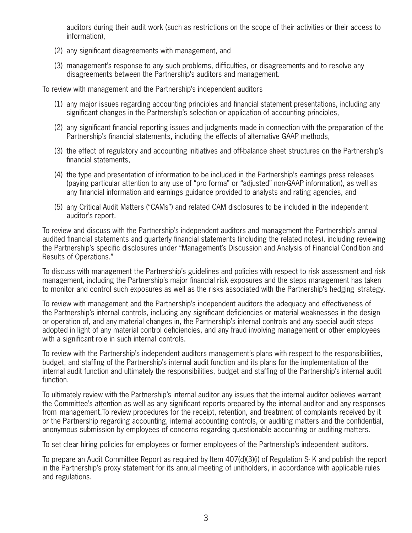auditors during their audit work (such as restrictions on the scope of their activities or their access to information),

- (2) any significant disagreements with management, and
- (3) management's response to any such problems, difficulties, or disagreements and to resolve any disagreements between the Partnership's auditors and management.

To review with management and the Partnership's independent auditors

- (1) any major issues regarding accounting principles and financial statement presentations, including any significant changes in the Partnership's selection or application of accounting principles,
- (2) any significant financial reporting issues and judgments made in connection with the preparation of the Partnership's financial statements, including the effects of alternative GAAP methods,
- (3) the effect of regulatory and accounting initiatives and off-balance sheet structures on the Partnership's financial statements,
- (4) the type and presentation of information to be included in the Partnership's earnings press releases (paying particular attention to any use of "pro forma" or "adjusted" non-GAAP information), as well as any financial information and earnings guidance provided to analysts and rating agencies, and
- (5) any Critical Audit Matters ("CAMs") and related CAM disclosures to be included in the independent auditor's report.

To review and discuss with the Partnership's independent auditors and management the Partnership's annual audited financial statements and quarterly financial statements (including the related notes), including reviewing the Partnership's specific disclosures under "Management's Discussion and Analysis of Financial Condition and Results of Operations."

To discuss with management the Partnership's guidelines and policies with respect to risk assessment and risk management, including the Partnership's major financial risk exposures and the steps management has taken to monitor and control such exposures as well as the risks associated with the Partnership's hedging strategy.

To review with management and the Partnership's independent auditors the adequacy and effectiveness of the Partnership's internal controls, including any significant deficiencies or material weaknesses in the design or operation of, and any material changes in, the Partnership's internal controls and any special audit steps adopted in light of any material control deficiencies, and any fraud involving management or other employees with a significant role in such internal controls.

To review with the Partnership's independent auditors management's plans with respect to the responsibilities, budget, and staffing of the Partnership's internal audit function and its plans for the implementation of the internal audit function and ultimately the responsibilities, budget and staffing of the Partnership's internal audit function.

To ultimately review with the Partnership's internal auditor any issues that the internal auditor believes warrant the Committee's attention as well as any significant reports prepared by the internal auditor and any responses from management.To review procedures for the receipt, retention, and treatment of complaints received by it or the Partnership regarding accounting, internal accounting controls, or auditing matters and the confidential, anonymous submission by employees of concerns regarding questionable accounting or auditing matters.

To set clear hiring policies for employees or former employees of the Partnership's independent auditors.

To prepare an Audit Committee Report as required by Item 407(d)(3)(i) of Regulation S- K and publish the report in the Partnership's proxy statement for its annual meeting of unitholders, in accordance with applicable rules and regulations.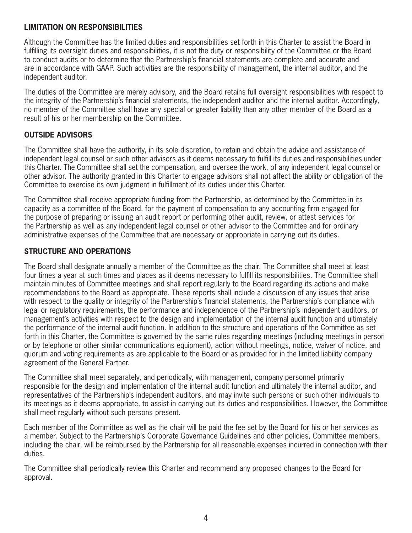### **LIMITATION ON RESPONSIBILITIES**

Although the Committee has the limited duties and responsibilities set forth in this Charter to assist the Board in fulfilling its oversight duties and responsibilities, it is not the duty or responsibility of the Committee or the Board to conduct audits or to determine that the Partnership's financial statements are complete and accurate and are in accordance with GAAP. Such activities are the responsibility of management, the internal auditor, and the independent auditor.

The duties of the Committee are merely advisory, and the Board retains full oversight responsibilities with respect to the integrity of the Partnership's financial statements, the independent auditor and the internal auditor. Accordingly, no member of the Committee shall have any special or greater liability than any other member of the Board as a result of his or her membership on the Committee.

# **OUTSIDE ADVISORS**

The Committee shall have the authority, in its sole discretion, to retain and obtain the advice and assistance of independent legal counsel or such other advisors as it deems necessary to fulfill its duties and responsibilities under this Charter. The Committee shall set the compensation, and oversee the work, of any independent legal counsel or other advisor. The authority granted in this Charter to engage advisors shall not affect the ability or obligation of the Committee to exercise its own judgment in fulfillment of its duties under this Charter.

The Committee shall receive appropriate funding from the Partnership, as determined by the Committee in its capacity as a committee of the Board, for the payment of compensation to any accounting firm engaged for the purpose of preparing or issuing an audit report or performing other audit, review, or attest services for the Partnership as well as any independent legal counsel or other advisor to the Committee and for ordinary administrative expenses of the Committee that are necessary or appropriate in carrying out its duties.

## **STRUCTURE AND OPERATIONS**

The Board shall designate annually a member of the Committee as the chair. The Committee shall meet at least four times a year at such times and places as it deems necessary to fulfill its responsibilities. The Committee shall maintain minutes of Committee meetings and shall report regularly to the Board regarding its actions and make recommendations to the Board as appropriate. These reports shall include a discussion of any issues that arise with respect to the quality or integrity of the Partnership's financial statements, the Partnership's compliance with legal or regulatory requirements, the performance and independence of the Partnership's independent auditors, or management's activities with respect to the design and implementation of the internal audit function and ultimately the performance of the internal audit function. In addition to the structure and operations of the Committee as set forth in this Charter, the Committee is governed by the same rules regarding meetings (including meetings in person or by telephone or other similar communications equipment), action without meetings, notice, waiver of notice, and quorum and voting requirements as are applicable to the Board or as provided for in the limited liability company agreement of the General Partner.

The Committee shall meet separately, and periodically, with management, company personnel primarily responsible for the design and implementation of the internal audit function and ultimately the internal auditor, and representatives of the Partnership's independent auditors, and may invite such persons or such other individuals to its meetings as it deems appropriate, to assist in carrying out its duties and responsibilities. However, the Committee shall meet regularly without such persons present.

Each member of the Committee as well as the chair will be paid the fee set by the Board for his or her services as a member. Subject to the Partnership's Corporate Governance Guidelines and other policies, Committee members, including the chair, will be reimbursed by the Partnership for all reasonable expenses incurred in connection with their duties.

The Committee shall periodically review this Charter and recommend any proposed changes to the Board for approval.